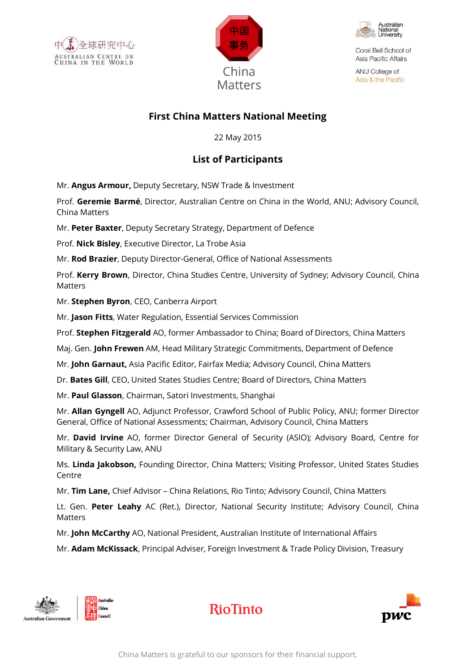





Coral Bell School of Asia Pacific Affairs

ANU College of Asia & the Pacific

## **First China Matters National Meeting**

22 May 2015

## **List of Participants**

Mr. **Angus Armour,** Deputy Secretary, NSW Trade & Investment

Prof. **Geremie Barmé**, Director, Australian Centre on China in the World, ANU; Advisory Council, China Matters

Mr. **Peter Baxter**, Deputy Secretary Strategy, Department of Defence

Prof. **Nick Bisley**, Executive Director, La Trobe Asia

Mr. **Rod Brazier**, Deputy Director-General, Office of National Assessments

Prof. **Kerry Brown**, Director, China Studies Centre, University of Sydney; Advisory Council, China Matters

Mr. **Stephen Byron**, CEO, Canberra Airport

Mr. **Jason Fitts**, Water Regulation, Essential Services Commission

Prof. **Stephen Fitzgerald** AO, former Ambassador to China; Board of Directors, China Matters

Maj. Gen. **John Frewen** AM, Head Military Strategic Commitments, Department of Defence

Mr. **John Garnaut,** Asia Pacific Editor, Fairfax Media; Advisory Council, China Matters

Dr. **Bates Gill**, CEO, United States Studies Centre; Board of Directors, China Matters

Mr. **Paul Glasson**, Chairman, Satori Investments, Shanghai

Mr. **Allan Gyngell** AO, Adjunct Professor, Crawford School of Public Policy, ANU; former Director General, Office of National Assessments; Chairman, Advisory Council, China Matters

Mr. **David Irvine** AO, former Director General of Security (ASIO); Advisory Board, Centre for Military & Security Law, ANU

Ms. **Linda Jakobson,** Founding Director, China Matters; Visiting Professor, United States Studies Centre

Mr. **Tim Lane,** Chief Advisor – China Relations, Rio Tinto; Advisory Council, China Matters

Lt. Gen. **Peter Leahy** AC (Ret.), Director, National Security Institute; Advisory Council, China Matters

Mr. **John McCarthy** AO, National President, Australian Institute of International Affairs

Mr. **Adam McKissack**, Principal Adviser, Foreign Investment & Trade Policy Division, Treasury





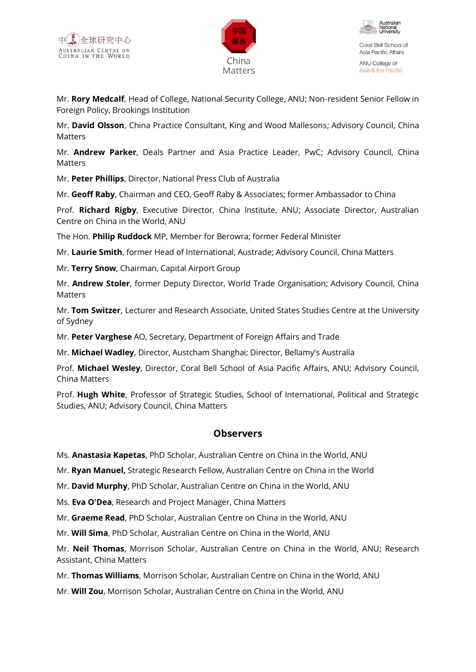





ANU College of Asia & the Pacific

Mr. **Rory Medcalf**, Head of College, National Security College, ANU; Non-resident Senior Fellow in Foreign Policy, Brookings Institution

Mr. **David Olsson**, China Practice Consultant, King and Wood Mallesons; Advisory Council, China Matters

Mr. **Andrew Parker**, Deals Partner and Asia Practice Leader, PwC; Advisory Council, China **Matters** 

Mr. **Peter Phillips**, Director, National Press Club of Australia

Mr. **Geoff Raby**, Chairman and CEO, Geoff Raby & Associates; former Ambassador to China

Prof. **Richard Rigby**, Executive Director, China Institute, ANU; Associate Director, Australian Centre on China in the World, ANU

The Hon. **Philip Ruddock** MP, Member for Berowra; former Federal Minister

Mr. **Laurie Smith**, former Head of International, Austrade; Advisory Council, China Matters

Mr. **Terry Snow**, Chairman, Capital Airport Group

Mr. **Andrew Stoler**, former Deputy Director, World Trade Organisation; Advisory Council, China Matters

Mr. **Tom Switzer**, Lecturer and Research Associate, United States Studies Centre at the University of Sydney

Mr. **Peter Varghese** AO, Secretary, Department of Foreign Affairs and Trade

Mr. **Michael Wadley**, Director, Austcham Shanghai; Director, Bellamy's Australia

Prof. **Michael Wesley**, Director, Coral Bell School of Asia Pacific Affairs, ANU; Advisory Council, China Matters

Prof. **Hugh White**, Professor of Strategic Studies, School of International, Political and Strategic Studies, ANU; Advisory Council, China Matters

## **Observers**

Ms. **Anastasia Kapetas**, PhD Scholar, Australian Centre on China in the World, ANU

Mr. **Ryan Manuel,** Strategic Research Fellow, Australian Centre on China in the World

Mr. **David Murphy**, PhD Scholar, Australian Centre on China in the World, ANU

Ms. **Eva O'Dea**, Research and Project Manager, China Matters

Mr. **Graeme Read**, PhD Scholar, Australian Centre on China in the World, ANU

Mr. **Will Sima**, PhD Scholar, Australian Centre on China in the World, ANU

Mr. **Neil Thomas**, Morrison Scholar, Australian Centre on China in the World, ANU; Research Assistant, China Matters

Mr. **Thomas Williams**, Morrison Scholar, Australian Centre on China in the World, ANU

Mr. **Will Zou**, Morrison Scholar, Australian Centre on China in the World, ANU